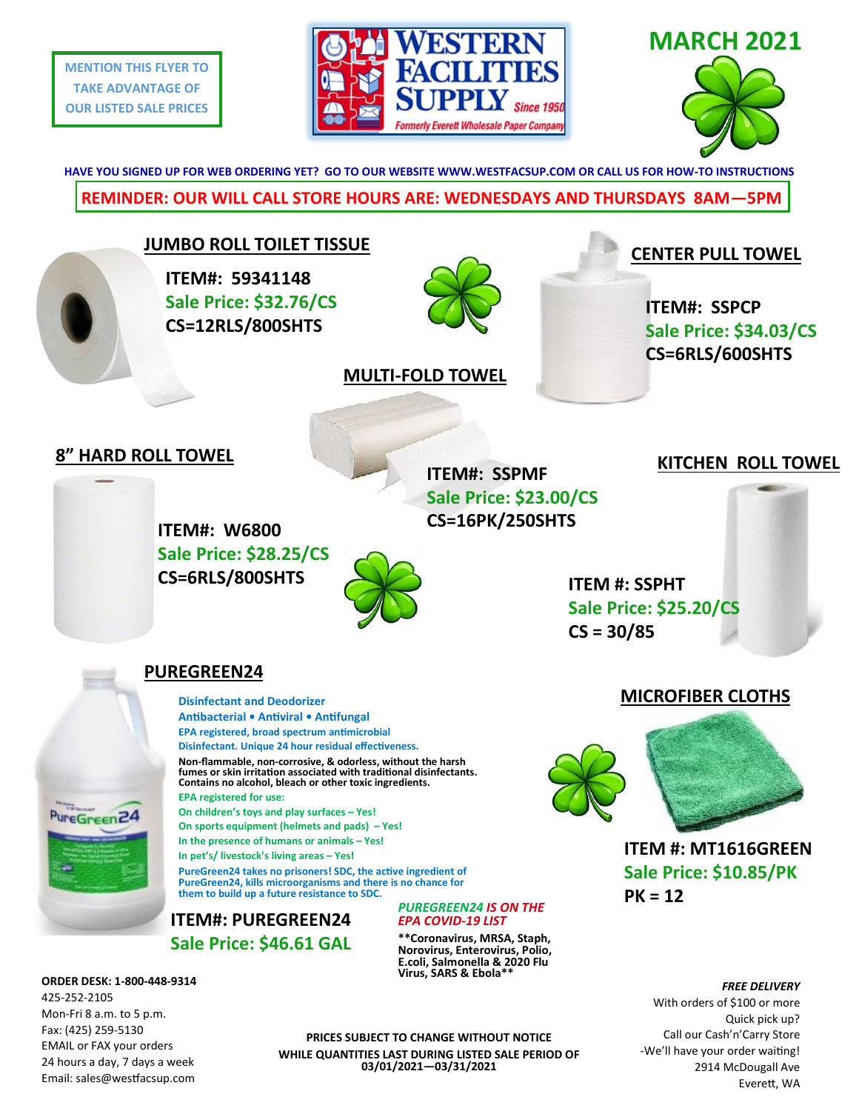**MENTION THIS FLYER TO TAKE ADVANTAGE OF OUR LISTED SALE PRICES**





**REMINDER: OUR WILL CALL STORE HOURS ARE: WEDNESDAYS AND THURSDAYS 8AM—5PM HAVE YOU SIGNED UP FOR WEB ORDERING YET? GO TO OUR WEBSITE WWW.WESTFACSUP.COM OR CALL US FOR HOW-TO INSTRUCTIONS**



425-252-2105 Mon-Fri 8 a.m. to 5 p.m. Fax: (425) 259-5130 EMAIL or FAX your orders 24 hours a day, 7 days a week Email: sales@westfacsup.com

**PRICES SUBJECT TO CHANGE WITHOUT NOTICE WHILE QUANTITIES LAST DURING LISTED SALE PERIOD OF 03/01/2021—03/31/2021**

Quick pick up? Call our Cash'n'Carry Store -We'll have your order waiting! 2914 McDougall Ave Everett, WA